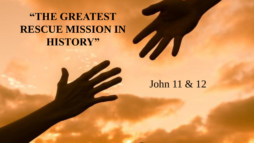## **"THE GREATEST RESCUE MISSION IN HISTORY"**

### John 11 & 12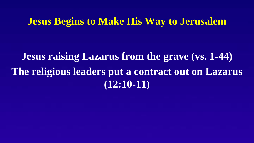### **Jesus Begins to Make His Way to Jerusalem**

**Jesus raising Lazarus from the grave (vs. 1-44) The religious leaders put a contract out on Lazarus (12:10-11)**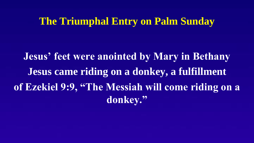### **The Triumphal Entry on Palm Sunday**

**Jesus' feet were anointed by Mary in Bethany Jesus came riding on a donkey, a fulfillment of Ezekiel 9:9, "The Messiah will come riding on a donkey."**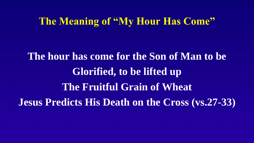### **The Meaning of "My Hour Has Come"**

**The hour has come for the Son of Man to be Glorified, to be lifted up The Fruitful Grain of Wheat Jesus Predicts His Death on the Cross (vs.27-33)**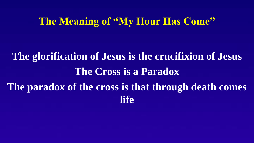### **The Meaning of "My Hour Has Come"**

# **The glorification of Jesus is the crucifixion of Jesus The Cross is a Paradox The paradox of the cross is that through death comes life**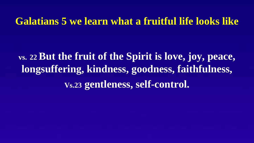### **Galatians 5 we learn what a fruitful life looks like**

**vs. <sup>22</sup>But the fruit of the Spirit is love, joy, peace, longsuffering, kindness, goodness, faithfulness, Vs.23 gentleness, self-control.**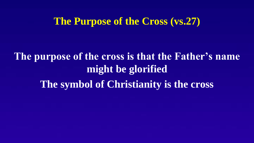### **The Purpose of the Cross (vs.27)**

**The purpose of the cross is that the Father's name might be glorified The symbol of Christianity is the cross**